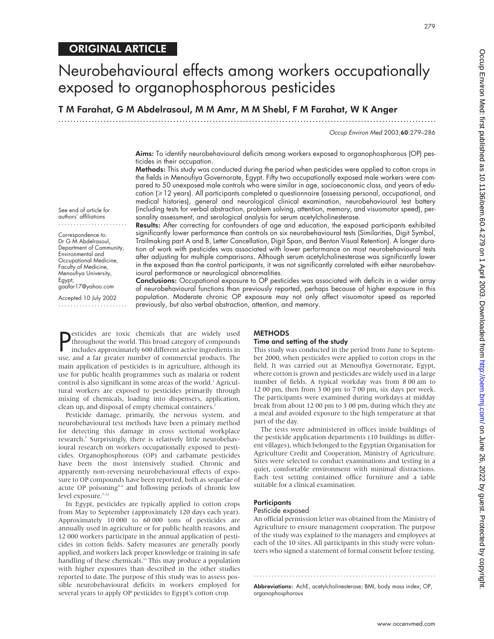279

# ORIGINAL ARTICLE

# Neurobehavioural effects among workers occupationally exposed to organophosphorous pesticides

T M Farahat, G M Abdelrasoul, M M Amr, M M Shebl, F M Farahat, W K Anger

.............................................................................................................................

Occup Environ Med 2003;60:279–286

Aims: To identify neurobehavioural deficits among workers exposed to organophosphorous (OP) pesticides in their occupation.

Methods: This study was conducted during the period when pesticides were applied to cotton crops in the fields in Menoufiya Governorate, Egypt. Fifty two occupationally exposed male workers were compared to 50 unexposed male controls who were similar in age, socioeconomic class, and years of education ( $\geq$ 12 years). All participants completed a questionnaire (assessing personal, occupational, and medical histories), general and neurological clinical examination, neurobehavioural test battery (including tests for verbal abstraction, problem solving, attention, memory, and visuomotor speed), personality assessment, and serological analysis for serum acetylcholinesterase.

See end of article for authors' affiliations .......................

Correspondence to: Dr G M Abdelrasoul, Department of Community, Environmental and Occupational Medicine, Faculty of Medicine, Menoufiya University, Egypt; gaafar17@yahoo.com

Accepted 10 July 2002 .......................

Results: After correcting for confounders of age and education, the exposed participants exhibited significantly lower performance than controls on six neurobehavioural tests (Similarities, Digit Symbol, Trailmaking part A and B, Letter Cancellation, Digit Span, and Benton Visual Retention). A longer duration of work with pesticides was associated with lower performance on most neurobehavioural tests after adjusting for multiple comparisons. Although serum acetylcholinesterase was significantly lower in the exposed than the control participants, it was not significantly correlated with either neurobehavioural performance or neurological abnormalities.

Conclusions: Occupational exposure to OP pesticides was associated with deficits in a wider array of neurobehavioural functions than previously reported, perhaps because of higher exposure in this population. Moderate chronic OP exposure may not only affect visuomotor speed as reported previously, but also verbal abstraction, attention, and memory.

**P** esticides are toxic chemicals that are widely used<br>throughout the world. This broad category of compounds<br>includes approximately 600 different active ingredients in<br>use and a far greater number of commercial products. throughout the world. This broad category of compounds includes approximately 600 different active ingredients in use, and a far greater number of commercial products. The main application of pesticides is in agriculture, although its use for public health programmes such as malaria or rodent control is also significant in some areas of the world. $<sup>1</sup>$  Agricul-</sup> tural workers are exposed to pesticides primarily through mixing of chemicals, loading into dispensers, application, clean up, and disposal of empty chemical containers.<sup>2</sup>

Pesticide damage, primarily, the nervous system, and neurobehavioural test methods have been a primary method for detecting this damage in cross sectional workplace research.<sup>3</sup> Surprisingly, there is relatively little neurobehavioural research on workers occupationally exposed to pesticides. Organophosphorous (OP) and carbamate pesticides have been the most intensively studied. Chronic and apparently non-reversing neurobehavioural effects of exposure to OP compounds have been reported, both as sequelae of acute OP poisoning<sup>46</sup> and following periods of chronic low level exposure.<sup>7-12</sup>

In Egypt, pesticides are typically applied to cotton crops from May to September (approximately 120 days each year). Approximately 10 000 to 60 000 tons of pesticides are annually used in agriculture or for public health reasons, and 12 000 workers participate in the annual application of pesticides in cotton fields. Safety measures are generally poorly applied, and workers lack proper knowledge or training in safe handling of these chemicals.<sup>13</sup> This may produce a population with higher exposures than described in the other studies reported to date. The purpose of this study was to assess possible neurobehavioural deficits in workers employed for several years to apply OP pesticides to Egypt's cotton crop.

## **METHODS**

#### Time and setting of the study

This study was conducted in the period from June to September 2000, when pesticides were applied to cotton crops in the field. It was carried out at Menoufiya Governorate, Egypt, where cotton is grown and pesticides are widely used in a large number of fields. A typical workday was from 8 00 am to 12 00 pm, then from 3 00 pm to 7 00 pm, six days per week. The participants were examined during workdays at midday break from about 12 00 pm to 3 00 pm, during which they ate a meal and avoided exposure to the high temperature at that part of the day.

The tests were administered in offices inside buildings of the pesticide application departments (10 buildings in different villages), which belonged to the Egyptian Organisation for Agriculture Credit and Cooperation, Ministry of Agriculture. Sites were selected to conduct examinations and testing in a quiet, comfortable environment with minimal distractions. Each test setting contained office furniture and a table suitable for a clinical examination.

# **Participants**

# Pesticide exposed

An official permission letter was obtained from the Ministry of Agriculture to ensure management cooperation. The purpose of the study was explained to the managers and employees at each of the 10 sites. All participants in this study were volunteers who signed a statement of formal consent before testing.

Abbreviations: AchE, acetylcholinesterase; BMI, body mass index; OP, organophosphorous

.............................................................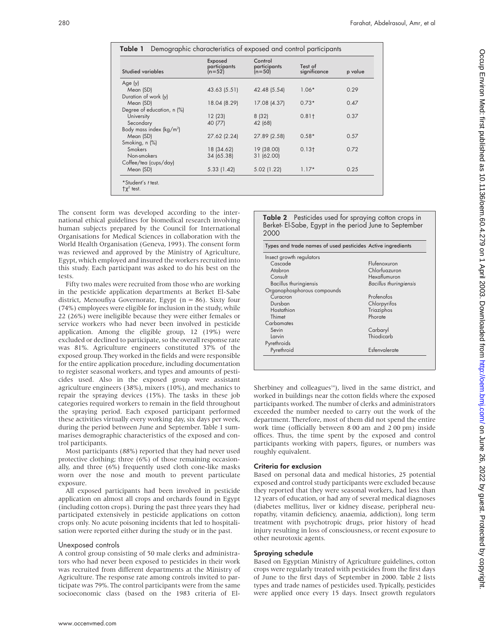| <b>Studied variables</b>   | Exposed<br>participants<br>$(n=52)$ | Control<br>participants<br>$(n=50)$ | Test of<br>significance | p value |
|----------------------------|-------------------------------------|-------------------------------------|-------------------------|---------|
| Age (y)                    |                                     |                                     |                         |         |
| Mean (SD)                  | 43.63 (5.51)                        | 42.48 (5.54)                        | $1.06*$                 | 0.29    |
| Duration of work (y)       |                                     |                                     |                         |         |
| Mean (SD)                  | 18.04 (8.29)                        | 17.08 (4.37)                        | $0.73*$                 | 0.47    |
| Degree of education, n (%) |                                     |                                     |                         |         |
| University                 | 12(23)                              | 8(32)                               | $0.81$ <sup>t</sup>     | 0.37    |
| Secondary                  | 40 (77)                             | 42 (68)                             |                         |         |
| Body mass index $(kg/m2)$  |                                     |                                     |                         |         |
| Mean (SD)                  | 27.62 (2.24)                        | 27.89 (2.58)                        | $0.58*$                 | 0.57    |
| Smoking, n (%)             |                                     |                                     |                         |         |
| <b>Smokers</b>             | 18 (34.62)                          | 19 (38.00)                          | 0.13 <sub>†</sub>       | 0.72    |
| Non-smokers                | 34 (65.38)                          | 31 (62.00)                          |                         |         |
| Coffee/tea (cups/day)      |                                     |                                     |                         |         |
| Mean (SD)                  | 5.33 (1.42)                         | 5.02 (1.22)                         | $1.17*$                 | 0.25    |

The consent form was developed according to the international ethical guidelines for biomedical research involving human subjects prepared by the Council for International Organisations for Medical Sciences in collaboration with the World Health Organisation (Geneva, 1993). The consent form was reviewed and approved by the Ministry of Agriculture, Egypt, which employed and insured the workers recruited into this study. Each participant was asked to do his best on the tests.

Fifty two males were recruited from those who are working in the pesticide application departments at Berket El-Sabe district, Menoufiya Governorate, Egypt ( $n = 86$ ). Sixty four (74%) employees were eligible for inclusion in the study, while 22 (26%) were ineligible because they were either females or service workers who had never been involved in pesticide application. Among the eligible group, 12 (19%) were excluded or declined to participate, so the overall response rate was 81%. Agriculture engineers constituted 37% of the exposed group. They worked in the fields and were responsible for the entire application procedure, including documentation to register seasonal workers, and types and amounts of pesticides used. Also in the exposed group were assistant agriculture engineers (38%), mixers (10%), and mechanics to repair the spraying devices (15%). The tasks in these job categories required workers to remain in the field throughout the spraying period. Each exposed participant performed these activities virtually every working day, six days per week, during the period between June and September. Table 1 summarises demographic characteristics of the exposed and control participants.

Most participants (88%) reported that they had never used protective clothing; three (6%) of those remaining occasionally, and three (6%) frequently used cloth cone-like masks worn over the nose and mouth to prevent particulate exposure.

All exposed participants had been involved in pesticide application on almost all crops and orchards found in Egypt (including cotton crops). During the past three years they had participated extensively in pesticide applications on cotton crops only. No acute poisoning incidents that led to hospitalisation were reported either during the study or in the past.

#### Unexposed controls

A control group consisting of 50 male clerks and administrators who had never been exposed to pesticides in their work was recruited from different departments at the Ministry of Agriculture. The response rate among controls invited to participate was 79%. The control participants were from the same socioeconomic class (based on the 1983 criteria of ElTable 2 Pesticides used for spraying cotton crops in Berket- El-Sabe, Egypt in the period June to September 2000

| Types and trade names of used pesticides Active ingredients |                               |
|-------------------------------------------------------------|-------------------------------|
| Insect growth regulators                                    |                               |
| Cascade                                                     | Flufenoxuron                  |
| Atabron                                                     | Chlorfuazuron                 |
| Consult                                                     | Hexaflumuron                  |
| <b>Bacillus thuringiensis</b>                               | <b>Bacillus thuringiensis</b> |
| Organophosphorous compounds                                 |                               |
| Curacron                                                    | Profenofos                    |
| Dursban                                                     | Chlorpyrifos                  |
| Hostathion                                                  | Triaziphos                    |
| Thimet                                                      | Phorate                       |
| Carbamates                                                  |                               |
| Sevin                                                       | Carbaryl                      |
| Larvin                                                      | Thiodicarb                    |
| Pyrethroids                                                 |                               |
| Pyrethroid                                                  | Esfenvalerate                 |

Sherbiney and colleagues $14$ ), lived in the same district, and worked in buildings near the cotton fields where the exposed participants worked. The number of clerks and administrators exceeded the number needed to carry out the work of the department. Therefore, most of them did not spend the entire work time (officially between 8 00 am and 2 00 pm) inside offices. Thus, the time spent by the exposed and control participants working with papers, figures, or numbers was roughly equivalent.

# Criteria for exclusion

Based on personal data and medical histories, 25 potential exposed and control study participants were excluded because they reported that they were seasonal workers, had less than 12 years of education, or had any of several medical diagnoses (diabetes mellitus, liver or kidney disease, peripheral neuropathy, vitamin deficiency, anaemia, addiction), long term treatment with psychotropic drugs, prior history of head injury resulting in loss of consciousness, or recent exposure to other neurotoxic agents.

# Spraying schedule

Based on Egyptian Ministry of Agriculture guidelines, cotton crops were regularly treated with pesticides from the first days of June to the first days of September in 2000. Table 2 lists types and trade names of pesticides used. Typically, pesticides were applied once every 15 days. Insect growth regulators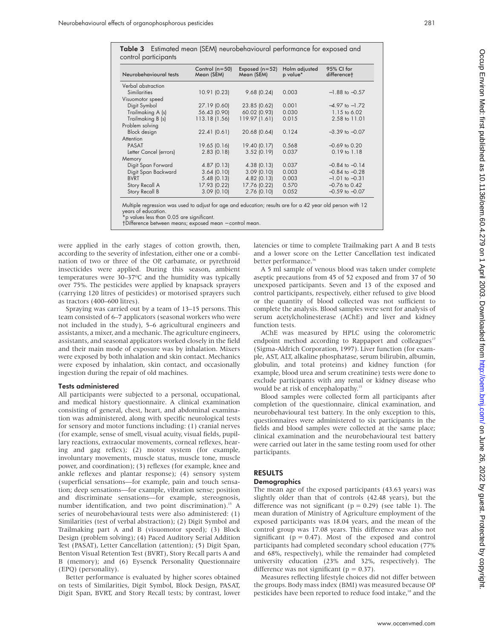|  | I<br>$\sim$ |  |
|--|-------------|--|
|  |             |  |

| control participants   |                                    |                                |                           |                           |
|------------------------|------------------------------------|--------------------------------|---------------------------|---------------------------|
| Neurobehavioural tests | Control ( $n = 50$ )<br>Mean (SEM) | Exposed $(n=52)$<br>Mean (SEM) | Holm adjusted<br>p value* | 95% CI for<br>differencet |
| Verbal abstraction     |                                    |                                |                           |                           |
| <b>Similarities</b>    | 10.91 (0.23)                       | 9.68(0.24)                     | 0.003                     | $-1.88$ to $-0.57$        |
| Visuomotor speed       |                                    |                                |                           |                           |
| Digit Symbol           | 27.19 (0.60)                       | 23.85 (0.62)                   | 0.001                     | $-4.97$ to $-1.72$        |
| Trailmaking A (s)      | 56.43 (0.90)                       | 60.02 (0.93)                   | 0.030                     | 1.15 to 6.02              |
| Trailmaking B (s)      | 113.18 (1.56)                      | 119.97 (1.61)                  | 0.015                     | 2.58 to 11.01             |
| Problem solving        |                                    |                                |                           |                           |
| <b>Block</b> design    | 22.41 (0.61)                       | 20.68 (0.64)                   | 0.124                     | $-3.39$ to $-0.07$        |
| Attention              |                                    |                                |                           |                           |
| <b>PASAT</b>           | 19.65 (0.16)                       | 19.40 (0.17)                   | 0.568                     | $-0.69$ to $0.20$         |
| Letter Cancel (errors) | $2.83$ (0.18)                      | 3.52(0.19)                     | 0.037                     | $0.19$ to $1.18$          |
| Memory                 |                                    |                                |                           |                           |
| Digit Span Forward     | 4.87(0.13)                         | 4.38(0.13)                     | 0.037                     | $-0.84$ to $-0.14$        |
| Digit Span Backward    | 3.64(0.10)                         | 3.09(0.10)                     | 0.003                     | $-0.84$ to $-0.28$        |
| <b>BVRT</b>            | 5.48(0.13)                         | $4.82$ (0.13)                  | 0.003                     | $-1.01$ to $-0.31$        |
| Story Recall A         | 17.93 (0.22)                       | 17.76 (0.22)                   | 0.570                     | $-0.76$ to $0.42$         |
| Story Recall B         | 3.09(0.10)                         | $2.76$ (0.10)                  | 0.052                     | $-0.59$ to $-0.07$        |

Table 3 Estimated mean (SEM) neurobehavioural performance for exposed and

Multiple regression was used to adjust for age and education; results are for a 42 year old person with 12 years of education.

o values less than 0.05 are significant.

†Difference between means; exposed mean − control mean.

were applied in the early stages of cotton growth, then, according to the severity of infestation, either one or a combination of two or three of the OP, carbamate, or pyrethroid insecticides were applied. During this season, ambient temperatures were 30–37ºC and the humidity was typically over 75%. The pesticides were applied by knapsack sprayers (carrying 120 litres of pesticides) or motorised sprayers such as tractors (400–600 litres).

Spraying was carried out by a team of 13–15 persons. This team consisted of 6–7 applicators (seasonal workers who were not included in the study), 5–6 agricultural engineers and assistants, a mixer, and a mechanic. The agriculture engineers, assistants, and seasonal applicators worked closely in the field and their main mode of exposure was by inhalation. Mixers were exposed by both inhalation and skin contact. Mechanics were exposed by inhalation, skin contact, and occasionally ingestion during the repair of old machines.

## Tests administered

All participants were subjected to a personal, occupational, and medical history questionnaire. A clinical examination consisting of general, chest, heart, and abdominal examination was administered, along with specific neurological tests for sensory and motor functions including: (1) cranial nerves (for example, sense of smell, visual acuity, visual fields, pupillary reactions, extraocular movements, corneal reflexes, hearing and gag reflex); (2) motor system (for example, involuntary movements, muscle status, muscle tone, muscle power, and coordination); (3) reflexes (for example, knee and ankle reflexes and plantar response); (4) sensory system (superficial sensations—for example, pain and touch sensation; deep sensations—for example, vibration sense; position and discriminate sensations—for example, stereognosis, number identification, and two point discrimination).<sup>15</sup> A series of neurobehavioural tests were also administered: (1) Similarities (test of verbal abstraction); (2) Digit Symbol and Trailmaking part A and B (visuomotor speed); (3) Block Design (problem solving); (4) Paced Auditory Serial Addition Test (PASAT), Letter Cancellation (attention); (5) Digit Span, Benton Visual Retention Test (BVRT), Story Recall parts A and B (memory); and (6) Eysenck Personality Questionnaire (EPQ) (personality).

Better performance is evaluated by higher scores obtained on tests of Similarities, Digit Symbol, Block Design, PASAT, Digit Span, BVRT, and Story Recall tests; by contrast, lower

latencies or time to complete Trailmaking part A and B tests and a lower score on the Letter Cancellation test indicated better performance.<sup>16</sup>

A 5 ml sample of venous blood was taken under complete aseptic precautions from 45 of 52 exposed and from 37 of 50 unexposed participants. Seven and 13 of the exposed and control participants, respectively, either refused to give blood or the quantity of blood collected was not sufficient to complete the analysis. Blood samples were sent for analysis of serum acetylcholinesterase (AChE) and liver and kidney function tests.

AChE was measured by HPLC using the colorometric endpoint method according to Rappaport and colleagues<sup>17</sup> (Sigma-Aldrich Corporation, 1997). Liver function (for example, AST, ALT, alkaline phosphatase, serum bilirubin, albumin, globulin, and total proteins) and kidney function (for example, blood urea and serum creatinine) tests were done to exclude participants with any renal or kidney disease who would be at risk of encephalopathy.<sup>15</sup>

Blood samples were collected form all participants after completion of the questionnaire, clinical examination, and neurobehavioural test battery. In the only exception to this, questionnaires were administered to six participants in the fields and blood samples were collected at the same place; clinical examination and the neurobehavioural test battery were carried out later in the same testing room used for other participants.

# RESULTS

# **Demographics**

The mean age of the exposed participants (43.63 years) was slightly older than that of controls (42.48 years), but the difference was not significant ( $p = 0.29$ ) (see table 1). The mean duration of Ministry of Agriculture employment of the exposed participants was 18.04 years, and the mean of the control group was 17.08 years. This difference was also not significant ( $p = 0.47$ ). Most of the exposed and control participants had completed secondary school education (77% and 68%, respectively), while the remainder had completed university education (23% and 32%, respectively). The difference was not significant ( $p = 0.37$ ).

Measures reflecting lifestyle choices did not differ between the groups. Body mass index (BMI) was measured because OP pesticides have been reported to reduce food intake,<sup>18</sup> and the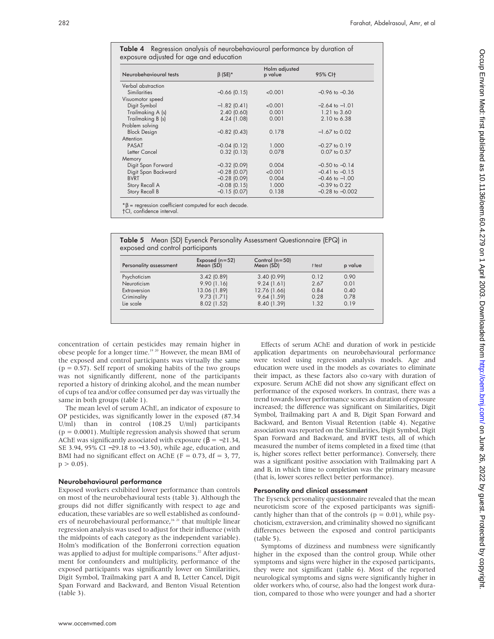Table 4 Regression analysis of neurobehavioural performance by duration of exposure adjusted for age and education

| Neurobehavioural tests | $\beta$ (SE)*  | Holm adjusted<br>p value | 95% CI+             |
|------------------------|----------------|--------------------------|---------------------|
| Verbal abstraction     |                |                          |                     |
| Similarities           | $-0.66$ (0.15) | < 0.001                  | $-0.96$ to $-0.36$  |
| Visuomotor speed       |                |                          |                     |
| Digit Symbol           | $-1.82$ (0.41) | < 0.001                  | $-2.64$ to $-1.01$  |
| Trailmaking A (s)      | 2.40(0.60)     | 0.001                    | $1.21$ to $3.60$    |
| Trailmaking B (s)      | 4.24 (1.08)    | 0.001                    | 2.10 to 6.38        |
| Problem solving        |                |                          |                     |
| <b>Block Design</b>    | $-0.82$ (0.43) | 0.178                    | $-1.67$ to 0.02     |
| Attention              |                |                          |                     |
| <b>PASAT</b>           | $-0.04$ (0.12) | 1.000                    | $-0.27$ to 0.19     |
| Letter Cancel          | $0.32$ (0.13)  | 0.078                    | 0.07 to 0.57        |
| Memory                 |                |                          |                     |
| Digit Span Forward     | $-0.32$ (0.09) | 0.004                    | $-0.50$ to $-0.14$  |
| Digit Span Backward    | $-0.28$ (0.07) | < 0.001                  | $-0.41$ to $-0.15$  |
| <b>BVRT</b>            | $-0.28$ (0.09) | 0.004                    | $-0.46$ to $-1.00$  |
| Story Recall A         | $-0.08$ (0.15) | 1.000                    | $-0.39$ to $0.22$   |
| Story Recall B         | $-0.15$ (0.07) | 0.138                    | $-0.28$ to $-0.002$ |

\*β = regression coefficient computed for each decade. †CI, confidence interval.

Table 5 Mean (SD) Eysenck Personality Assessment Questionnaire (EPQ) in exposed and control participants

| Personality assessment | Exposed $(n=52)$<br>Mean (SD) | Control $(n=50)$<br>Mean (SD) | t test | p value |
|------------------------|-------------------------------|-------------------------------|--------|---------|
|                        |                               |                               |        |         |
| Psychoticism           | 3.42(0.89)                    | 3.40(0.99)                    | 0.12   | 0.90    |
| Neuroticism            | 9.90(1.16)                    | 9.24(1.61)                    | 2.67   | 0.01    |
| Extraversion           | 13.06 (1.89)                  | 12.76 (1.66)                  | 0.84   | 0.40    |
| Criminality            | 9.73(1.71)                    | 9.64(1.59)                    | 0.28   | 0.78    |
| Lie scale              | 8.02 (1.52)                   | 8.40 (1.39)                   | 1.32   | 0.19    |

concentration of certain pesticides may remain higher in obese people for a longer time.19 20 However, the mean BMI of the exposed and control participants was virtually the same  $(p = 0.57)$ . Self report of smoking habits of the two groups was not significantly different, none of the participants reported a history of drinking alcohol, and the mean number of cups of tea and/or coffee consumed per day was virtually the same in both groups (table 1).

The mean level of serum AChE, an indicator of exposure to OP pesticides, was significantly lower in the exposed (87.34 U/ml) than in control (108.25 U/ml) participants  $(p = 0.0001)$ . Multiple regression analysis showed that serum AChE was significantly associated with exposure ( $\beta = -21.34$ , SE 3.94, 95% CI −29.18 to −13.50), while age, education, and BMI had no significant effect on AChE ( $F = 0.73$ , df = 3, 77,  $p > 0.05$ ).

#### Neurobehavioural performance

Exposed workers exhibited lower performance than controls on most of the neurobehavioural tests (table 3). Although the groups did not differ significantly with respect to age and education, these variables are so well established as confounders of neurobehavioural performance,<sup>16 21</sup> that multiple linear regression analysis was used to adjust for their influence (with the midpoints of each category as the independent variable). Holm's modification of the Bonferroni correction equation was applied to adjust for multiple comparisons.<sup>22</sup> After adjustment for confounders and multiplicity, performance of the exposed participants was significantly lower on Similarities, Digit Symbol, Trailmaking part A and B, Letter Cancel, Digit Span Forward and Backward, and Benton Visual Retention (table 3).

Effects of serum AChE and duration of work in pesticide application departments on neurobehavioural performance were tested using regression analysis models. Age and education were used in the models as covariates to eliminate their impact, as these factors also co-vary with duration of exposure. Serum AChE did not show any significant effect on performance of the exposed workers. In contrast, there was a trend towards lower performance scores as duration of exposure increased; the difference was significant on Similarities, Digit Symbol, Trailmaking part A and B, Digit Span Forward and Backward, and Benton Visual Retention (table 4). Negative association was reported on the Similarities, Digit Symbol, Digit Span Forward and Backward, and BVRT tests, all of which measured the number of items completed in a fixed time (that is, higher scores reflect better performance). Conversely, there was a significant positive association with Trailmaking part A and B, in which time to completion was the primary measure (that is, lower scores reflect better performance).

## Personality and clinical assessment

The Eysenck personality questionnaire revealed that the mean neuroticism score of the exposed participants was significantly higher than that of the controls ( $p = 0.01$ ), while psychoticism, extraversion, and criminality showed no significant differences between the exposed and control participants (table 5).

Symptoms of dizziness and numbness were significantly higher in the exposed than the control group. While other symptoms and signs were higher in the exposed participants, they were not significant (table 6). Most of the reported neurological symptoms and signs were significantly higher in older workers who, of course, also had the longest work duration, compared to those who were younger and had a shorter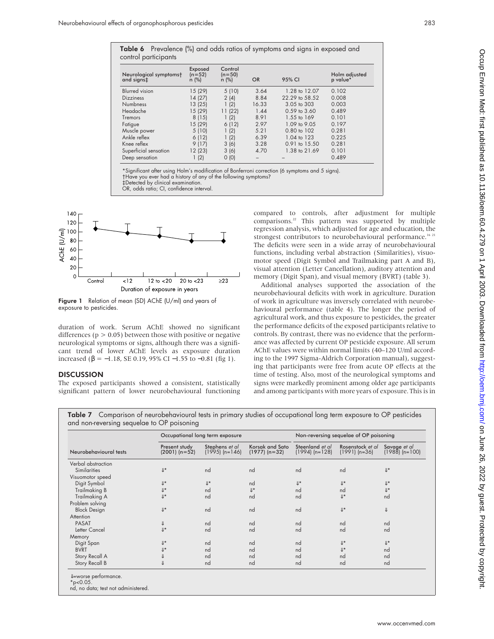| control participants                 |                                |                              |           |                        |                           |  |
|--------------------------------------|--------------------------------|------------------------------|-----------|------------------------|---------------------------|--|
| Neurological symptomst<br>and signs‡ | Exposed<br>$(n=52)$<br>$n$ (%) | Control<br>$(n=50)$<br>n (%) | <b>OR</b> | 95% CI                 | Holm adjusted<br>p value* |  |
| <b>Blurred</b> vision                | 15 (29)                        | 5(10)                        | 3.64      | 1.28 to 12.07          | 0.102                     |  |
| <b>Dizziness</b>                     | 14 (27)                        | 2(4)                         | 8.84      | 22.29 to 58.52         | 0.008                     |  |
| <b>Numbness</b>                      | 13 (25)                        | 1(2)                         | 16.33     | $3.05$ to $303$        | 0.003                     |  |
| Headache                             | 15 (29)                        | 11(22)                       | 1.44      | $0.59$ to $3.60$       | 0.489                     |  |
| Tremors                              | 8(15)                          | 1(2)                         | 8.91      | 1.55 to 169            | 0.101                     |  |
| Fatigue                              | 15 (29)                        | 6(12)                        | 2.97      | 1.09 to 9.05           | 0.197                     |  |
| Muscle power                         | 5(10)                          | 1(2)                         | 5.21      | $0.80 \text{ to } 102$ | 0.281                     |  |
| Ankle reflex                         | 6(12)                          | 1(2)                         | 6.39      | 1.04 to 123            | 0.225                     |  |
| Knee reflex                          | 9(17)                          | 3(6)                         | 3.28      | 0.91 to 15.50          | 0.281                     |  |
| Superficial sensation                | 12 (23)                        | 3(6)                         | 4.70      | 1.38 to 21.69          | 0.101                     |  |
| Deep sensation                       | (2)                            | O(0)                         |           |                        | 0.489                     |  |

\*Significant after using Holm's modification of Bonferroni correction (6 symptoms and 5 signs). †Have you ever had a history of any of the following symptoms? ‡Detected by clinical examination.

OR, odds ratio; CI, confidence interval.



Figure 1 Relation of mean (SD) AChE (U/ml) and years of exposure to pesticides.

duration of work. Serum AChE showed no significant differences ( $p > 0.05$ ) between those with positive or negative neurological symptoms or signs, although there was a significant trend of lower AChE levels as exposure duration increased (β = −1.18, SE 0.19, 95% CI −1.55 to −0.81 (fig 1).

## **DISCUSSION**

The exposed participants showed a consistent, statistically significant pattern of lower neurobehavioural functioning compared to controls, after adjustment for multiple comparisons.22 This pattern was supported by multiple regression analysis, which adjusted for age and education, the strongest contributors to neurobehavioural performance.<sup>16 21</sup> The deficits were seen in a wide array of neurobehavioural functions, including verbal abstraction (Similarities), visuomotor speed (Digit Symbol and Trailmaking part A and B), visual attention (Letter Cancellation), auditory attention and memory (Digit Span), and visual memory (BVRT) (table 3).

Additional analyses supported the association of the neurobehavioural deficits with work in agriculture. Duration of work in agriculture was inversely correlated with neurobehavioural performance (table 4). The longer the period of agricultural work, and thus exposure to pesticides, the greater the performance deficits of the exposed participants relative to controls. By contrast, there was no evidence that the performance was affected by current OP pesticide exposure. All serum AChE values were within normal limits (40–120 U/ml according to the 1997 Sigma-Aldrich Corporation manual), suggesting that participants were free from acute OP effects at the time of testing. Also, most of the neurological symptoms and signs were markedly prominent among older age participants and among participants with more years of exposure. This is in

Table 7 Comparison of neurobehavioural tests in primary studies of occupational long term exposure to OP pesticides and non-reversing sequelae to OP poisoning

| Neurobehavioural tests |                                  | Occupational long term exposure    |                                    |                                     | Non-reversing sequelae of OP poisoning |                                        |  |
|------------------------|----------------------------------|------------------------------------|------------------------------------|-------------------------------------|----------------------------------------|----------------------------------------|--|
|                        | Present study<br>$(2001)$ (n=52) | Stephens et al<br>$(1995)$ (n=146) | Korsak and Sato<br>$(1977)$ (n=32) | Steenland et al<br>$(1994)$ (n=128) | Rosenstock et al<br>$(1991)$ (n=36)    | Savage et al<br>$(198\bar{8})$ (n=100) |  |
| Verbal abstraction     |                                  |                                    |                                    |                                     |                                        |                                        |  |
| <b>Similarities</b>    | $\Downarrow\star$                | nd                                 | nd                                 | nd                                  | nd                                     | IJ*                                    |  |
| Visuomotor speed       |                                  |                                    |                                    |                                     |                                        |                                        |  |
| Digit Symbol           | $\Downarrow\star$                | $\Downarrow\star$                  | nd                                 | $\Downarrow\star$                   | $\parallel$ *                          | $\Downarrow\star$                      |  |
| Trailmaking B          | IJ*                              | nd                                 | IJ*                                | nd                                  | nd                                     | IJ*                                    |  |
| Trailmaking A          | $\Downarrow\star$                | nd                                 | nd                                 | nd                                  | $\mathbb{I}^*$                         | nd                                     |  |
| Problem solving        |                                  |                                    |                                    |                                     |                                        |                                        |  |
| <b>Block Design</b>    | IJ*                              | nd                                 | nd                                 | nd                                  | $\Downarrow\star$                      | $\Downarrow$                           |  |
| Attention              |                                  |                                    |                                    |                                     |                                        |                                        |  |
| <b>PASAT</b>           | ⇓                                | nd                                 | nd                                 | nd                                  | nd                                     | nd                                     |  |
| Letter Cancel          | IJ*                              | nd                                 | nd                                 | nd                                  | nd                                     | nd                                     |  |
| Memory                 |                                  |                                    |                                    |                                     |                                        |                                        |  |
| Digit Span             | IJ*                              | nd                                 | nd                                 | nd                                  | $\mathbb{L}^*$                         | $\mathbb{U}^*$                         |  |
| <b>BVRT</b>            | ⇓∗                               | nd                                 | nd                                 | nd                                  | $\mathbb{I}^*$                         | nd                                     |  |
| Story Recall A         | ⇓                                | nd                                 | nd                                 | nd                                  | nd                                     | nd                                     |  |
| Story Recall B         | ⇓                                | nd                                 | nd                                 | nd                                  | nd                                     | nd                                     |  |

\*p<0.05.

nd, no data; test not administered.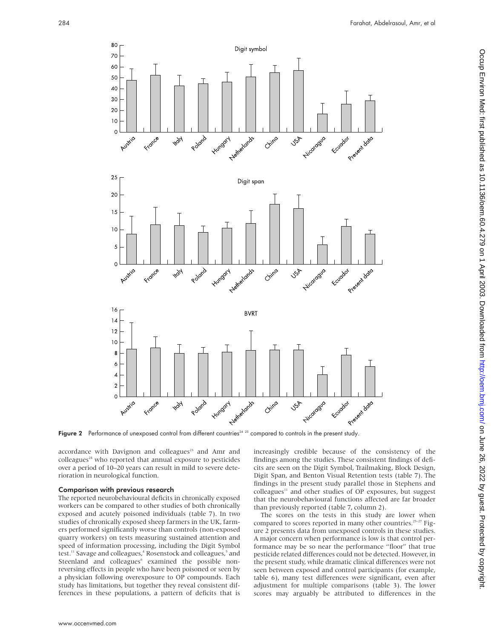

Figure 2 Performance of unexposed control from different countries<sup>24 25</sup> compared to controls in the present study.

accordance with Davignon and colleagues<sup>23</sup> and Amr and  $\text{colle}$ agues<sup>24</sup> who reported that annual exposure to pesticides over a period of 10–20 years can result in mild to severe deterioration in neurological function.

### Comparison with previous research

The reported neurobehavioural deficits in chronically exposed workers can be compared to other studies of both chronically exposed and acutely poisoned individuals (table 7). In two studies of chronically exposed sheep farmers in the UK, farmers performed significantly worse than controls (non-exposed quarry workers) on tests measuring sustained attention and speed of information processing, including the Digit Symbol test.<sup>11</sup> Savage and colleagues,<sup>4</sup> Rosenstock and colleagues,<sup>5</sup> and Steenland and colleagues<sup>6</sup> examined the possible nonreversing effects in people who have been poisoned or seen by a physician following overexposure to OP compounds. Each study has limitations, but together they reveal consistent differences in these populations, a pattern of deficits that is

increasingly credible because of the consistency of the findings among the studies. These consistent findings of deficits are seen on the Digit Symbol, Trailmaking, Block Design, Digit Span, and Benton Visual Retention tests (table 7). The findings in the present study parallel those in Stephens and colleagues<sup>11</sup> and other studies of OP exposures, but suggest that the neurobehavioural functions affected are far broader than previously reported (table 7, column 2).

The scores on the tests in this study are lower when compared to scores reported in many other countries.<sup>25-27</sup> Figure 2 presents data from unexposed controls in these studies. A major concern when performance is low is that control performance may be so near the performance "floor" that true pesticide related differences could not be detected. However, in the present study, while dramatic clinical differences were not seen between exposed and control participants (for example, table 6), many test differences were significant, even after adjustment for multiple comparisons (table 3). The lower scores may arguably be attributed to differences in the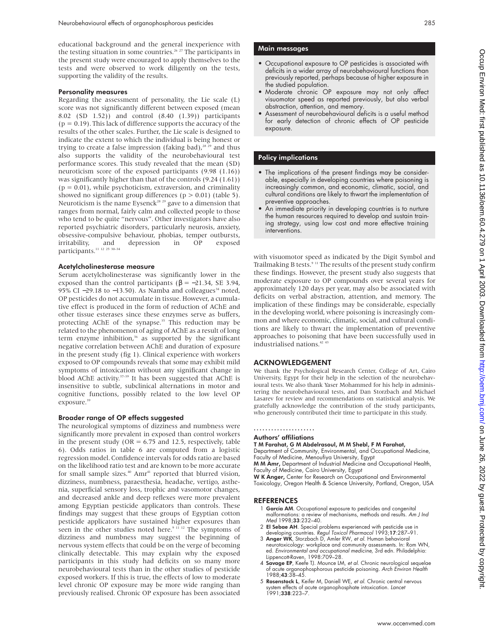educational background and the general inexperience with the testing situation in some countries.<sup>26 27</sup> The participants in the present study were encouraged to apply themselves to the tests and were observed to work diligently on the tests, supporting the validity of the results.

## Personality measures

Regarding the assessment of personality, the Lie scale (L) score was not significantly different between exposed (mean 8.02 (SD 1.52)) and control (8.40 (1.39)) participants  $(p = 0.19)$ . This lack of difference supports the accuracy of the results of the other scales. Further, the Lie scale is designed to indicate the extent to which the individual is being honest or trying to create a false impression (faking bad),<sup>28 29</sup> and thus also supports the validity of the neurobehavioural test performance scores. This study revealed that the mean (SD) neuroticism score of the exposed participants (9.98 (1.16)) was significantly higher than that of the controls (9.24 (1.61))  $(p = 0.01)$ , while psychoticism, extraversion, and criminality showed no significant group differences ( $p > 0.01$ ) (table 5). Neuroticism is the name Eysenck<sup>28</sup> <sup>29</sup> gave to a dimension that ranges from normal, fairly calm and collected people to those who tend to be quite "nervous". Other investigators have also reported psychiatric disorders, particularly neurosis, anxiety, obsessive-compulsive behaviour, phobias, temper outbursts,<br>irritability, and depression in OP exposed irritability, and depression in OP exposed participants.11 12 25 30–34

#### Acetylcholinesterase measure

Serum acetylcholinesterase was significantly lower in the exposed than the control participants ( $β = -21.34$ , SE 3.94, 95% CI  $-29.18$  to  $-13.50$ ). As Namba and colleagues<sup>34</sup> noted, OP pesticides do not accumulate in tissue. However, a cumulative effect is produced in the form of reduction of AChE and other tissue esterases since these enzymes serve as buffers, protecting AChE of the synapse.<sup>35</sup> This reduction may be related to the phenomenon of aging of AChE as a result of long term enzyme inhibition, $36$  as supported by the significant negative correlation between AChE and duration of exposure in the present study (fig 1). Clinical experience with workers exposed to OP compounds reveals that some may exhibit mild symptoms of intoxication without any significant change in blood AChE activity.<sup>37-39</sup> It has been suggested that AChE is insensitive to subtle, subclinical alternations in motor and cognitive functions, possibly related to the low level OP exposure.<sup>39</sup>

# Broader range of OP effects suggested

The neurological symptoms of dizziness and numbness were significantly more prevalent in exposed than control workers in the present study (OR  $= 6.75$  and 12.5, respectively, table 6). Odds ratios in table 6 are computed from a logistic regression model. Confidence intervals for odds ratio are based on the likelihood ratio test and are known to be more accurate for small sample sizes. $40$  Amr<sup>41</sup> reported that blurred vision, dizziness, numbness, paraesthesia, headache, vertigo, asthenia, superficial sensory loss, trophic and vasomotor changes, and decreased ankle and deep reflexes were more prevalent among Egyptian pesticide applicators than controls. These findings may suggest that these groups of Egyptian cotton pesticide applicators have sustained higher exposures than seen in the other studies noted here.<sup>9 11 12</sup> The symptoms of dizziness and numbness may suggest the beginning of nervous system effects that could be on the verge of becoming clinically detectable. This may explain why the exposed participants in this study had deficits on so many more neurobehavioural tests than in the other studies of pesticide exposed workers. If this is true, the effects of low to moderate level chronic OP exposure may be more wide ranging than previously realised. Chronic OP exposure has been associated

#### Main messages

- Occupational exposure to OP pesticides is associated with deficits in a wider array of neurobehavioural functions than previously reported, perhaps because of higher exposure in the studied population.
- Moderate chronic OP exposure may not only affect visuomotor speed as reported previously, but also verbal abstraction, attention, and memory.
- Assessment of neurobehavioural deficits is a useful method for early detection of chronic effects of OP pesticide exposure.

#### Policy implications

- The implications of the present findings may be considerable, especially in developing countries where poisoning is increasingly common, and economic, climatic, social, and cultural conditions are likely to thwart the implementation of preventive approaches.
- An immediate priority in developing countries is to nurture the human resources required to develop and sustain training strategy, using low cost and more effective training interventions.

with visuomotor speed as indicated by the Digit Symbol and Trailmaking B tests.<sup>9 11</sup> The results of the present study confirm these findings. However, the present study also suggests that moderate exposure to OP compounds over several years for approximately 120 days per year, may also be associated with deficits on verbal abstraction, attention, and memory. The implication of these findings may be considerable, especially in the developing world, where poisoning is increasingly common and where economic, climatic, social, and cultural conditions are likely to thwart the implementation of preventive approaches to poisoning that have been successfully used in industrialised nations.<sup>42</sup>

## ACKNOWLEDGEMENT

We thank the Psychological Research Center, College of Art, Cairo University, Egypt for their help in the selection of the neurobehavioural tests. We also thank Yaser Mohammed for his help in administering the neurobehavioural tests, and Dan Storzbach and Michael Lasarev for review and recommendations on statistical analysis. We gratefully acknowledge the contribution of the study participants, who generously contributed their time to participate in this study.

#### ..................... Authors' affiliations

T M Farahat, G M Abdelrasoul, M M Shebl, F M Farahat,

Department of Community, Environmental, and Occupational Medicine, Faculty of Medicine, Menoufiya University, Egypt

M M Amr, Department of Industrial Medicine and Occupational Health, Faculty of Medicine, Cairo University, Egypt

W K Anger, Center for Research on Occupational and Environmental Toxicology, Oregon Health & Science University, Portland, Oregon, USA

### **REFERENCES**

- 1 García AM. Occupational exposure to pesticides and congenital malformations: a review of mechanisms, methods and results. Am J Ind Med 1998;33:232–40.
- 2 El Sebae AH. Special problems experienced with pesticide use in developing countries. Regul Toxicol Pharmacol 1993;1**7**:287–91.<br>3 **Anger WK**, Storzbach D, Amler RW, et al. Human behavioral
- neurotoxicology: workplace and community assessments. In: Rom WN, ed. Environmental and occupational medicine, 3rd edn. Philadelphia: Lippencott-Raven, 1998:709-28.
- 4 Savage EP, Keefe TJ. Mounce LM, et al. Chronic neurological sequelae of acute organophosphorous pesticide poisoning. Arch Environ Health 1988;43:38–45.
- 5 Rosenstock L, Keifer M, Daniell WE, et al. Chronic central nervous system effects of acute organophosphate intoxication. *Lance* 1991;338:223–7.